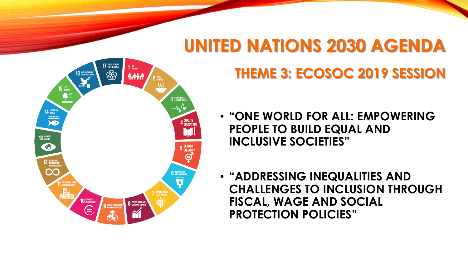

## **UNITED NATIONS 2030 AGENDA**

## **THEME 3: ECOSOC 2019 SESSION**

- **"ONE WORLD FOR ALL: EMPOWERING PEOPLE TO BUILD EQUAL AND INCLUSIVE SOCIETIES"**
- **"ADDRESSING INEQUALITIES AND CHALLENGES TO INCLUSION THROUGH FISCAL, WAGE AND SOCIAL PROTECTION POLICIES"**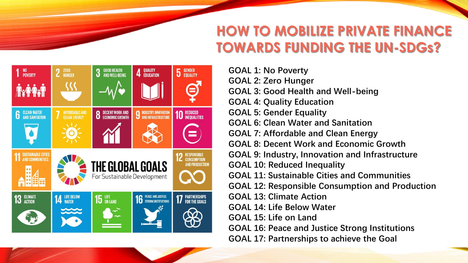## **HOW TO MOBILIZE PRIVATE FINANCE TOWARDS FUNDING THE UN-SDGs?**



**GOAL 1: No Poverty GOAL 2: Zero Hunger GOAL 3: Good Health and Well-being GOAL 4: Quality Education GOAL 5: Gender Equality GOAL 6: Clean Water and Sanitation GOAL 7: Affordable and Clean Energy GOAL 8: Decent Work and Economic Growth GOAL 9: Industry, Innovation and Infrastructure GOAL 10: Reduced Inequality GOAL 11: Sustainable Cities and Communities GOAL 12: Responsible Consumption and Production GOAL 13: Climate Action GOAL 14: Life Below Water GOAL 15: Life on Land GOAL 16: Peace and Justice Strong Institutions GOAL 17: Partnerships to achieve the Goal**